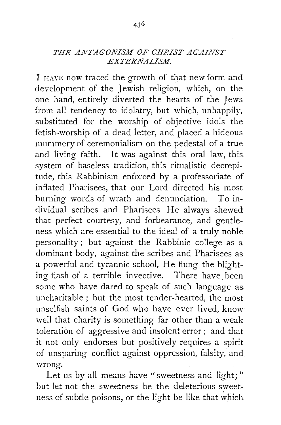## *THE ANTAGONISM OF CHRIST AGAINST EXTERNALISM.*

I HAVE now traced the growth of that new form and development of the Jewish religion, which, on the one hand, entirely diverted the hearts of the Jews from all tendency to idolatry, but which, unhappily, substituted for the worship of objective idols the fetish-worship of a dead letter, and placed a hideous mummery of ceremonialism on the pedestal of a true and living faith. It was against this oral law, this system of baseless tradition, this ritualistic decrepitude, this Rabbinism enforced by a professoriate of inflated Pharisees, that our Lord directed his most burning words of wrath and denunciation. To individual scribes and Pharisees He always shewed that perfect courtesy, and forbearance, and gentleness which are essential to the ideal of a truly noble personality ; but against the Rabbinic college as a dominant body, against the scribes and Pharisees as a powerful and tyrannic school, He flung the blighting flash of a terrible invective. There have been some who have dared to speak of such language as. uncharitable ; but the most tender-hearted, the most unselfish saints of God who have ever lived, know well that charity is something far other than a weak toleration of aggressive and insolent error ; and that it not only endorses but positively requires a spirit of unsparing conflict against oppression, falsity, an\_d wrong.

Let us by all means have "sweetness and light;" but let not the sweetness be the deleterious sweetness of subtle poisons, or the light be like that which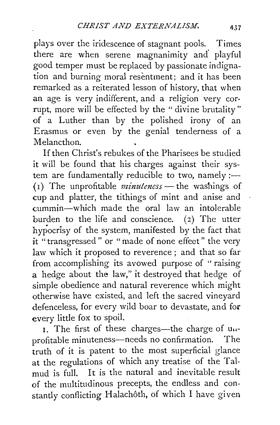plays over the iridescence of stagnant pools. Times there are when serene magnanimity and' playful good temper must be replaced by passionate indignation and burning moral resentment; and it has been remarked as a reiterated lesson of history, that when an age is very indifferent, and a religion very corrupt, more will be effected by the " divine brutality" of a Luther than by the polished irony of an Erasmus or even by the genial tenderness of a Melancthon.

If then Christ's rebukes of the Pharisees be studied it will be found that his charges against their system are fundamentally reducible to two, namely:-(I) The unprofitable *minuteness-* the washings of cup and platter, the tithings of mint and anise and cummin-which made the oral law an intolerable burden to the life and conscience. (2) The utter hypocrisy of the system, manifested by the fact that it "transgressed" or "made of none effeot" the very law which it proposed to reverence ; and that so far from accomplishing its avowed purpose of " raising a hedge about the law," it destroyed that hedge of simple obedience and natural reverence which might otherwise have existed, and left the sacred vineyard defenceless, for every wild boar to devastate, and for every little fox to spoil.

I. The first of these charges—the charge of  $u_{1}$ profitable minuteness—needs no confirmation. The truth of it is patent to the most superficial glance at the regulations of which any treatise of the Talmud is full. It is the natural and inevitable result of the multitudinous precepts, the endless and constantly conflicting Halachôth, of which I have given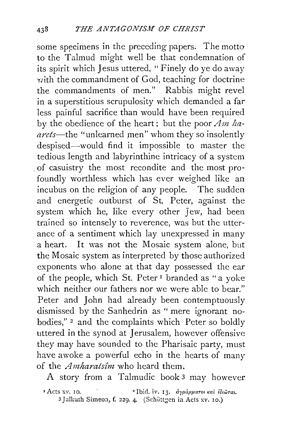some specimens in the preceding papers. The motto to the Talmud might well be that condemnation of its spirit which Jesus uttered, "Finely do ye do away with the commandment of God, teaching for doctrine the commandments of men." Rabbis might revel in a superstitious scrupulosity which demanded a far less painful sacrifice than would have been required by the obedience of the heart; but the poor  $\overline{Am}$  ha*arets-the* "unlearned men" whom they so insolently despised-would find it impossible to master the tedious length and labyrinthine intricacy of a system . of casuistry the most recondite and the most profoundly worthless which has ever weighed like an incubus on the religion of any people. The sudden and energetic outburst of St. Peter, against the system which he, like every other *]* ew, had been trained so intensely to reverence, was but the utterance of a sentiment which lay unexpressed in many a heart. It was not the Mosaic system alone, but the Mosaic system as interpreted by those authorized exponents who alone at that day possessed the ear of the people, which St. Peter 1 branded as "a yoke which neither our fathers nor we were able to bear." Peter and John had already been contemptuously dismissed by the Sanhedrin as " mere ignorant nobodies,"<sup>2</sup> and the complaints which Peter so boldly uttered in the synod at Jerusalem, however offensive they may have sounded to the Pharisaic party, must have awoke a powerful echo in the hearts of many of the *Amharats£m* who heard them.

A story from a Talmudic book 3 may however

<sup>2</sup> Ibid. iv. 13. *dypapparol kal lotaral*. 3 Jalkuth Simeon, f. 229. 4. (Schöttgen in Acts *xv.* 10.)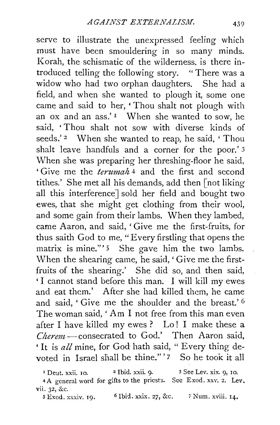serve to illustrate the unexpressed feeling which must have been smouldering in so many minds. Korah, the schismatic of the wilderness. is there introduced telling the following story. " There was a widow who had two orphan daughters. She had a field, and when she wanted to plough it, some one came and said to her, 'Thou shalt not plough with an ox and an ass.' 1 When she wanted to sow, he said, ' Thou shalt not sow with diverse kinds of seeds.' <sup>2</sup> When she wanted to reap, he said, 'Thou shalt leave handfuls and a corner for the poor.' 3 When she was preparing her threshing-floor he said, ' Give me the *terumah* 4 and the first and second tithes.' She met all his demands, add then [not liking all this interference] sold her field and bought two ewes, that she might get clothing from their wool, and some gain from their lambs. When they lambed, came Aaron, and said, 'Give me the first-fruits, for thus saith God to me, "Every firstling that opens the matrix is mine."'<sup>5</sup> She gave him the two lambs. When the shearing came, he said,' Give me the firstfruits of the shearing.' She did so, and then said, ' I cannot stand before this man. I will kill my ewes and eat them.' After she had killed them, he came and said, ' Give me the shoulder and the breast.' 6 The woman said, ' Am I not free from this man even after I have killed my ewes? Lo! I make these a *Cherem* - consecrated to God.' Then Aaron said, ' It is *all* mine, for God hath said, " Every thing devoted in Israel shall be thine." '7 So he took it all

<sup>1</sup> Deut. xxii. 10. <sup>2</sup> Ibid. xxii. 9. <sup>3</sup> See Lev. xix. 9, 10. 4 A general word for gifts to the priests. See Exod. xxv. 2. Lev. vii. 32, &c.

*5* Exod. xxxiv. 19. *6* Ibid. xxix. 27, &c. 'i Num. xviii. 14,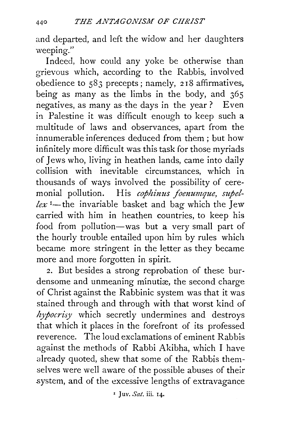and departed, and left the widow and her daughters weeping."

Indeed, how could any yoke be otherwise than grievous which, according to the Rabbis, involved obedience to  $583$  precepts ; namely,  $218$  affirmatives, being as many as the limbs in the body, and 365 negatives, as many as the days in the year? Even in Palestine it was difficult enough to keep such a multitude of laws and observances, apart from the innumerable inferences deduced from them ; but how infinitely more difficult was this task for those myriads of Jews who, living in heathen lands, came into daily collision with inevitable circumstances, which in thousands of ways involved the possibility of ceremonial pollution. His *cophinus foenumque, supel* $lex$ <sup>1</sup>—the invariable basket and bag which the Jew carried with him in heathen countries, to keep his food from pollution-was but a very small part of the hourly trouble entailed upon him by rules which became more stringent in the letter as they became more and more forgotten in spirit.

2. But besides a strong reprobation of these burdensome and unmeaning minutiæ, the second charge of Christ against the Rabbinic system was that it was stained through and through with that worst kind of  $hyporisy$  which secretly undermines and destroys that which it places in the forefront of its professed reverence. The loud exclamations of eminent Rabbis against the methods of Rabbi Akibha, which I have already quoted, shew that some of the Rabbis themselves were well aware of the possible abuses of their .system, and of the excessive lengths of extravagance

" Juv. *Sat.* iii. 14.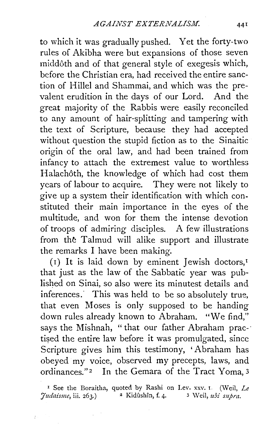to which it was gradually pushed. Yet the forty-two rules of Akibha were but expansions of those seven middoth and of that general style of exegesis which, before the Christian era, had received the entire sanction of Hillel and Shammai, and which was the prevalent erudition in the days of our Lord. And the great majority of the Rabbis were easily reconciled to any amount of hair-splitting and tampering with the text of Scripture, because they had accepted without question the stupid fiction as to the Sinaitic origin of the oral law, and had been trained from infancy to attach the extremest value to worthless Halachôth, the knowledge of which had cost them years of labour to acquire. They were not likely to give up a system their identification with which constituted their main importance in the eyes of the multitude, and won for them the intense devotion of troops of admiring disciples. A few illustrations from the Talmud will alike support and illustrate the remarks I have been making.

(1) It is laid down by eminent Jewish doctors,<sup> $I$ </sup> that just as the law of the Sabbatic year was published on Sinai, so also were its minutest details and inferences. This was held to be so absolutely true, that even Moses is only supposed to be handing down rules already known to Abraham. "We find," says the Mishnah, "that our father Abraham practised the entire law before it was promulgated, since Scripture gives him this testimony, 'Abraham has obeyed my voice, observed my precepts, laws, and ordinances."<sup>2</sup> In the Gemara of the Tract Yoma, 3

<sup>1</sup> See the Boraitha, quoted by Rashi on Lev. xxv. I. (Weil, Le *Judaisme*, *iii.* 263.) <sup>2</sup> Kidûshîn, f. 4. <sup>3</sup> Weil, *ubi supra.* 

المتأثر المتو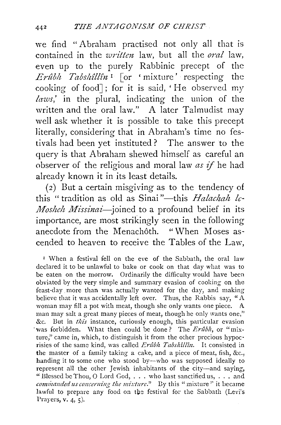we find "Abraham practised not only all that is contained in the *written* law, but all the *oral* law, even up to the purely Rabbinic precept of the *Erz1blt Tabsldllln* 1 [or ' mixture' respecting the cooking of food] ; for it is said, ' He observed my *laws,'* in the plural, indicating the union of the written and the oral law." A later Talmudist may well ask whether it is possible to take this precept literally, considering that in Abraham's time no festivals had been yet instituted? The answer to the query is that Abraham shewed himself as careful an observer of the religious and moral law *as* if he had already known it in its least details.

(2) But a certain misgiving as to the tendency of this "tradition as old as Sinai"—this *Halachah le-Mosheh Missinai*-joined to a profound belief in its importance, are most strikingly seen in the following anecdote from the Menach6th. "When Moses ascended to heaven to receive the Tables of the Law,

<sup>r</sup>When a festival fell on the eve of the Sabbath, the oral law declared it to be unlawful to bake or cook on that day what was to be eaten on the morrow. Ordinarily the difficulty would have been obviated by the very simple and summary evasion of cooking on the feast-day more than was actually wanted for the day, and making believe that it was accidentally left over. Thus, the Rabbis say, "A woman may fill a pot with meat, though she only wants one piece. A man may salt a great many pieces of meat, though he only wants one," &c. But in *this* instance, curiously enough, this particular evasion was forbidden. What then could be done? The *Erûbh*, or "mixture," came in, which, to distinguish it from the other precious hypocrisies of the same kind, was called *Erûbh Tabshîllîn*. It consisted in the master of a family taking a cake, and a piece of meat, fish, &c., handing it to some one who stood by--who was supposed ideally to represent all the other Jewish inhabitants of the city--and saying, "Blessed be Thou, 0 Lord God, ... who hast sanctified us, ... and *commanded us concerning the mixture.*" By this "mixture" it became lawful to prepare any food on the festival for the Sabbath (Levi's Prayers, v. 4, 5).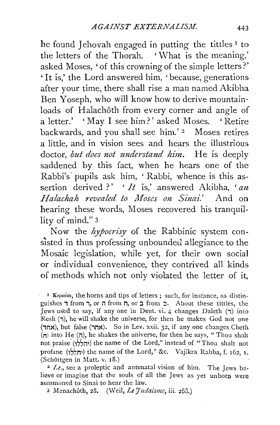he found Jehovah engaged in putting the tittles<sup>1</sup> to the letters of the Thorah. ' What is the meaning,' asked Moses, 'of this crowning of the simple letters?' ' It is,' the Lord answered him, ' because, generations after your time, there shall rise a man named Akibha Ben Yoseph, who will know how to derive mountainloads of Halachôth from every corner and angle of a letter.' 'May I see him?' asked Moses. 'Retire backwards, and you shall see him.'<sup>2</sup> Moses retires a little, and in vision sees and hears the illustrious doctor, but does not understand him. He is deeply saddened by this fact, when he hears one of the Rabbi's pupils ask him, 'Rabbi, whence is this assertion derived ?' ' *It* is,' answered Akibha, 'an *Halachah revealed to Moses on Sinai.'* And on hearing these words, Moses recovered his tranquillity of mind." 3

Now the *hypocrisy* of the Rabbinic system consisted in thus professing unbounded allegiance to the Mosaic legislation, while yet, for their own social or individual convenience, they contrived all kinds of methods which not only violated the letter of it,

<sup>I</sup> Kepaia, the horns and tips of letters; such, for instance, as distinguishes  $\tau$  from  $\tau$ , or  $\tau$  from  $\tau$ , or  $\tau$  from  $\tau$ . About these tittles, the Jews used to say, if any one in Deut. vi. 4 changes Daleth  $(7)$  into Resh (7), he will shake the universe, for then he makes God not one (אחד), but false (אחר). So in Lev. xxii. 32, if any one changes Cheth ( $\pi$ ) into He ( $\pi$ ), he shakes the universe, for then he says, "Thou shalt not praise (יהללן) the name of the Lord," instead of "Thou shalt not profane (יחללו) the name of the Lord," &c. Vajikra Rabba, f. 162, I. (Schottgen in Matt. v. IS.) 2 *I.e.,* see a proleptic and antenatal vision of him. The Jews be-

lieve or imagine that the souls of all the Jews as yet unborn were summoned to Sinai to hear the law.

3 McnachOth, zS. (Weil, *Le Judaisme,* iii. z68.)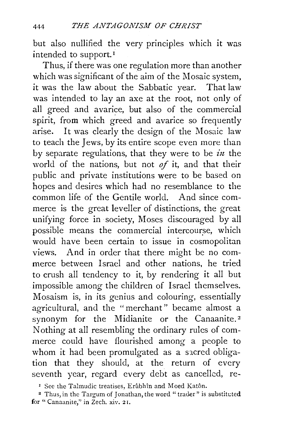but also nullified the very principles which it was intended to support. 1

Thus, if there was one regulation more than another which was significant of the aim of the Mosaic system. it was the law about the Sabbatic year. That law was intended to lay an axe at the root, not only of all greed and avarice, but also of the commercial spirit, from which greed and avarice so frequently arise. It was clearly the design of the Mosaic law to teach the Jews, by its entire scope even more than by separate regulations, that they were to be *in* the world of the nations, but not *of* it, and that their public and private institutions were to be based on hopes and desires which had no resemblance to the common life of the Gentile world. And since commerce is the great leveller of distinctions, the great unifying force in society, Moses discouraged by all possible means the commercial intercourse, which would have been certain to issue in cosmopolitan views. And in order that there might be no commerce between Israel and other nations, he tried to crush all tendency to it, by rendering it all but impossible among the children of Israel themselves. Mosaism is, in its genius and colouring, essentially agricultural, and the "merchant" became almost a synonym for the Midianite or the Canaanite.<sup>2</sup> Nothing at all resembling the ordinary rules of commerce could have flourished among a people to whom it had been promulgated as a sacred obligation that they should, at the return of every seventh year, regard every debt as cancelled, re-

<sup>I</sup> See the Talmudic treatises, Erûbhîn and Moed Katôn.

<sup>2</sup> Thus, in the Targum of Jonathan, the word "trader" is substituted for "Canaanite,'' in Zech. xiv. 2 r.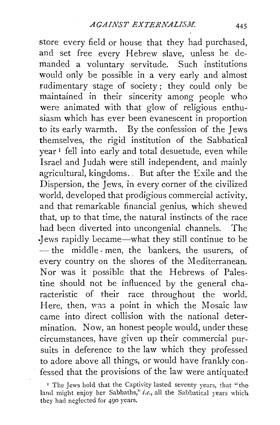store every field or house that they had purchased, and set free every Hebrew slave, unless he demanded a voluntary servitude. Such institutions would only be possible in a very early and almost rudimentary stage of society; they could only be maintained in their sincerity among people who were animated with that glow of religious enthusiasm which has ever been evanescent in proportion to its early warmth. By the confession of the Jews themselves, the rigid institution of the Sabbatical year 1 fell into early and total desuetude, even while Israel and Judah were still independent, and mainly agricultural, kingdoms. . But after the Exile and the Dispersion, the Jews, in every corner of the civilized world, developed that prodigious commercial activity, and that remarkable financial genius, which shewed that, up to that time, the natural instincts of the race had been diverted into uncongenial channels. The ·Jews rapidly Lecame-what they still continue to be - the middle-men, the bankers, the usurers, of every country on the shores· of the Mediterranean. Nor was it possible that the Hebrews of Palestine should not be influenced by the general characteristic of their race throughout the world. Here, then, was a point in which the Mosaic law came into direct collision with the national determination. Now, an honest people would, under these circumstances, have given up their commercial pursuits in deference to the law which they professed to adore above all things, or would have frankly confessed that the provisions of the law were antiquated

<sup>&#</sup>x27; The Jews hold that the Captivity lasted seventy years, that "the land might enjoy her Sabbaths," *i.e.*, all the Sabbatical years which. they had neglected for 490 years.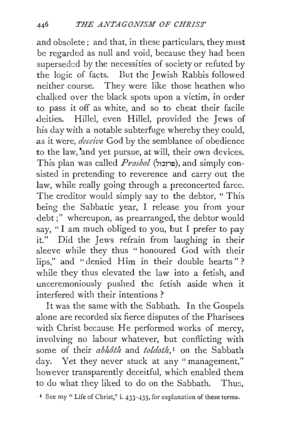and obsolete; and that, in these particulars, they must be regarded as null and void, because they had been superseded by the necessities of society or refuted by the logic of facts. But the Jewish Rabbis followed neither course. They were like those heathen who chalked over the black spots upon a victim, in order to pass it off as white, and so to cheat their facile deities. Hillel, even Hillel, provided the Jews of his day with a notable subterfuge whereby they could, as it were, *deceive* God by the semblance of obedience *to* the law, "and yet pursue, at will, their own devices. This plan was called *Prosbol* (arter), and simply consisted in pretending to reverence and carry out the law, while really going through a preconcerted farce. The creditor would simply say to the debtor, "This being the Sabbatic year, I release you from your debt;" whereupon, as prearranged, the debtor would say, " I am much obliged to you, but I prefer to pay it." Did the Jews refrain from laughing in their sleeve while they thus "honoured God with their lips," and "denied Him in their double hearts" ? while they thus elevated the law into a fetish, and unceremoniously pushed the fetish aside when it interfered with their intentions ?

It was the same with the Sabbath. In the Gospels alone are recorded six fierce disputes of the Pharisees with Christ because He performed works of mercy, involving no labour whatever, but conflicting with some of their *abhoth* and *toldoth,* 1 on the Sabbath day. Yet they never stuck at any "management," however transparently deceitful, which enabled them to do what they liked to do on the Sabbath. Thus,

· 1 See my " Life of Christ," i. 433-435, for explanation of these terms.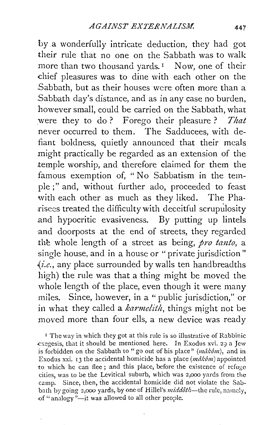by .a wonderfully intricate deduction, they had got their rule that no one on the Sabbath was to walk more than two thousand vards.<sup>1</sup> Now, one of their chief pleasures was to dine with each other on the Sabbath, but as their houses were often more than a Sabbath day's distance, and as in any case no burden, however small, could be carried on the Sabbath, what were they to do ? Forego their pleasure ? *That*  never occurred to them. The Sadducees, with defiant boldness, quietly announced that their meals might practically be regarded as an extension of the .temple worship, and therefore claimed for them the famous exemption of, "No Sabbatism in the temple ;" and, without further ado, proceeded to feast with each other as much as they liked. The Pha risees treated the difficulty with deceitful scrupulosity .and hypocritic evasiveness. By putting up lintels and doorposts at the end of streets, they regarded the whole length of a street as being, *pro tanto*, a single house, and in a house or "private jurisdiction" *-{i.e.,* any place surrounded by walls ten handbreadths high) the rule was that a thing might be moved the whole length of the place, even though it were many miles. Since, however, in a "public jurisdiction," or in what they called a *karmelith,* things might not be moved more than four ells, a new device was ready

<sup>1</sup> The way in which they got at this rule is so illustrative of Rabbinic .exegesis, that it should be mentioned here. In Exodus xvi. *29* a Jew is forbidden on the Sabbath to "go out of his place"  $(m \hat{a} k \hat{\theta} m)$ , and in Exodus xxi. 13 the accidental homicide has a place  $(m \hat{\alpha} k \hat{\delta} m)$  appointed to which he can flee; and this place, before the existence of refuge cities, was to be the Levitical suburb, which was z,ooo yards from the camp. Since, then, the accidental homicide did not violate the Sabbath by going 2,000 yards, by one of Hillel's *middôth*—the rule, namely. of "analogy"-it was allowed to all other people.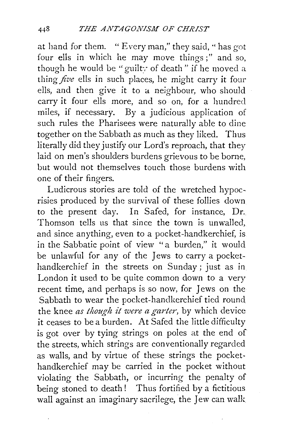at hand for them. " Every man," they said, '' has got four ells in which he may move things;" and so, though he would be "guilty of death" if he moved a thing *five* ells in such places, he might carry it four ells, and then give it to a neighbour, who should carry it four ells more, and so on, for a hundred miles, if necessary. By a judicious application of such rules the Pharisees were naturally able to dine together on the Sabbath as much as they liked. Thus literally did they justify our Lord's reproach, that they laid on men's shoulders burdens grievous to be borne, but would not themselves touch those burdens with one of their fingers.

Ludicrous stories are told of the wretched hypocrisies produced by the survival of these follies down to the present day. In Safed, for instance, Dr. Thomson tells us that since the town is unwalled, and since anything, even to a pocket-handkerchief, is in the Sabbatic point of view "a burden," it would be unlawful for any of the Jews to carry a pockethandkerchief in the streets on Sunday; just as in London it used to be quite common down to a very recent time, and perhaps is so now, for Jews on the Sabbath to wear the pocket-handkerchief tied round the knee *as though it were a garter,* by which device it ceases to be a burden. At Safed the little difficulty is got over by tying strings on poles at the end of the streets, which strings are conventionally regarded as walls, and by virtue of these strings the pockethandkerchief may be carried in the pocket without violating the Sabbath, or incurring the penalty of being stoned to death! Thus fortified by a fictitious wall against an imaginary sacrilege, the Jew can walk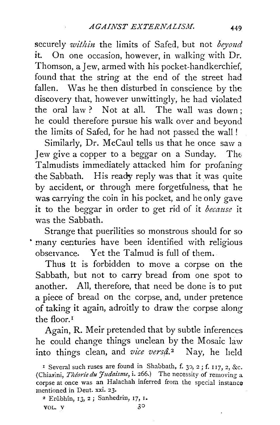securely *within* the limits of Safed, but not *beyond* it. On one occasion, however, in walking with Dr. Thomson, a Jew, armed with his pocket-handkerchief, found that the string at the end of the street had. fallen. Was he then disturbed in conscience by the discovery that, however unwittingly, he had violated the oral law ? Not at all. The wall was down ; he could therefore pursue his walk over and beyond the limits of Safed, for he had not passed the wall !

Similarly, Dr. McCaul tells us that he once saw a Jew give a copper to a beggar on a Sunday. The Talmudists immediately attacked him for profaning the Sabbath. His ready reply was that it was quite by accident, or through mere forgetfulness, that he was carrying the coin in his pocket, and he only gave it to the beggar in order to get rid of it *because* it was the Sabbath.

Strange that puerilities so monstrous should for so • many centuries have been identified with religious observance. Yet the Talmud is full of them.

Thus it is forbidden to move a corpse on the Sabbath, but not to carry bread from one spot to another. All, therefore, that need be done is to put a piece of bread on the corpse, and, under pretence of taking it again, adroitly to draw the corpse along the floor. <sup>1</sup>

Again, R. Meir pretended that by subtle inferences he could change things unclean by the Mosaic law into things clean, and *vice versâ*.<sup>2</sup> Nay, he held

I Several such ruses are found in Shabbath, f. 30, 2; f. 117, 2, &c. (Chiarini, *Theorie du Judaisme*, i. 266.) The necessity of removing a corpse at once was an Halachah inferred from the special instance mentioned in Deut. xxi. 23.

<sup>&</sup>lt;sup>2</sup> Erûbhîn, 13, 2; Sanhedrin, 17, 1. VOL. V  $3^{\circ}$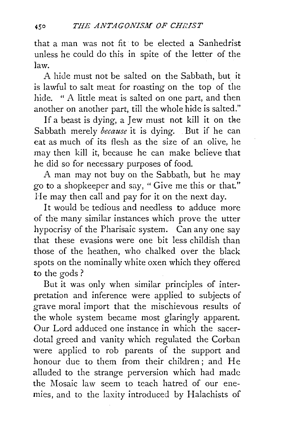that a man was not fit to be elected a Sanhedrist unless he could do this in spite of the letter of the law.

A hide must not be salted on the Sabbath, but it is lawful to salt meat for roasting on the top of the hide. " A little meat is salted on one part, and then another on another part, till the whole hide is salted."

If a beast is dying, a Jew must not kill it on the Sabbath merely *because* it is dying. . But if he can eat as much of its flesh as the size of an olive, he may then kill it, because he can make believe that he did so for necessary purposes of food.

A man may not buy on the Sabbath, but he may go to a shopkeeper and say, " Give me this or that." He may then call and pay for it on the next day.

It would be tedious and needless to adduce more of the many similar instances which prove the utter hypocrisy of the Pharisaic system. Can any one say that these evasions were one bit less childish than those of the heathen, who chalked over the black spots on the nominally white oxen which they offered. to the gods?

But it was only when similar principles of interpretation and inference were applied to subjects of grave moral import that the mischievous results of the whole system became most glaringly apparent. Our Lord adduced one instance in which the sacerdotal greed and vanity which regulated the Corban were applied to rob parents of the support and honour due to them from their children; and He alluded to the strange perversion which had made the Mosaic law seem to teach hatred of our enemies, and to the laxity introduced by Halachists of